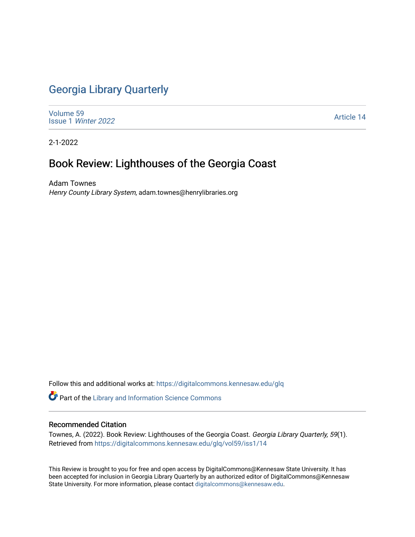## [Georgia Library Quarterly](https://digitalcommons.kennesaw.edu/glq)

[Volume 59](https://digitalcommons.kennesaw.edu/glq/vol59) Issue 1 [Winter 2022](https://digitalcommons.kennesaw.edu/glq/vol59/iss1) 

[Article 14](https://digitalcommons.kennesaw.edu/glq/vol59/iss1/14) 

2-1-2022

## Book Review: Lighthouses of the Georgia Coast

Adam Townes Henry County Library System, adam.townes@henrylibraries.org

Follow this and additional works at: [https://digitalcommons.kennesaw.edu/glq](https://digitalcommons.kennesaw.edu/glq?utm_source=digitalcommons.kennesaw.edu%2Fglq%2Fvol59%2Fiss1%2F14&utm_medium=PDF&utm_campaign=PDFCoverPages) 

Part of the [Library and Information Science Commons](http://network.bepress.com/hgg/discipline/1018?utm_source=digitalcommons.kennesaw.edu%2Fglq%2Fvol59%2Fiss1%2F14&utm_medium=PDF&utm_campaign=PDFCoverPages) 

## Recommended Citation

Townes, A. (2022). Book Review: Lighthouses of the Georgia Coast. Georgia Library Quarterly, 59(1). Retrieved from [https://digitalcommons.kennesaw.edu/glq/vol59/iss1/14](https://digitalcommons.kennesaw.edu/glq/vol59/iss1/14?utm_source=digitalcommons.kennesaw.edu%2Fglq%2Fvol59%2Fiss1%2F14&utm_medium=PDF&utm_campaign=PDFCoverPages) 

This Review is brought to you for free and open access by DigitalCommons@Kennesaw State University. It has been accepted for inclusion in Georgia Library Quarterly by an authorized editor of DigitalCommons@Kennesaw State University. For more information, please contact [digitalcommons@kennesaw.edu.](mailto:digitalcommons@kennesaw.edu)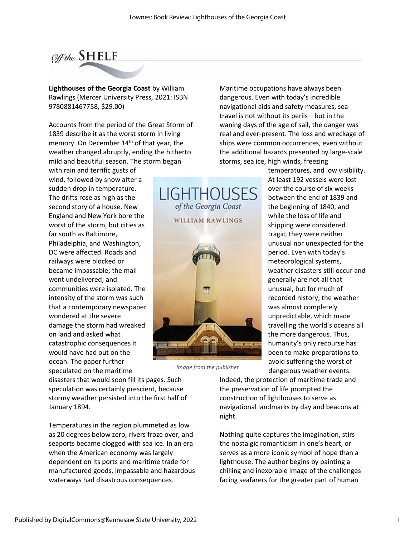

**Lighthouses of the Georgia Coast** by William Rawlings (Mercer University Press, 2021: ISBN 9780881467758, \$29.00)

Accounts from the period of the Great Storm of 1839 describe it as the worst storm in living memory. On December 14<sup>th</sup> of that year, the weather changed abruptly, ending the hitherto mild and beautiful season. The storm began

with rain and terrific gusts of wind, followed by snow after a sudden drop in temperature. The drifts rose as high as the second story of a house. New England and New York bore the worst of the storm, but cities as far south as Baltimore, Philadelphia, and Washington, DC were affected. Roads and railways were blocked or became impassable; the mail went undelivered; and communities were isolated. The intensity of the storm was such that a contemporary newspaper wondered at the severe damage the storm had wreaked on land and asked what catastrophic consequences it would have had out on the ocean. The paper further speculated on the maritime



*Image from the publisher*

Maritime occupations have always been dangerous. Even with today's incredible navigational aids and safety measures, sea travel is not without its perils—but in the waning days of the age of sail, the danger was real and ever-present. The loss and wreckage of ships were common occurrences, even without the additional hazards presented by large-scale storms, sea ice, high winds, freezing

> temperatures, and low visibility. At least 192 vessels were lost over the course of six weeks between the end of 1839 and the beginning of 1840, and while the loss of life and shipping were considered tragic, they were neither unusual nor unexpected for the period. Even with today's meteorological systems, weather disasters still occur and generally are not all that unusual, but for much of recorded history, the weather was almost completely unpredictable, which made travelling the world's oceans all the more dangerous. Thus, humanity's only recourse has been to make preparations to avoid suffering the worst of dangerous weather events.

disasters that would soon fill its pages. Such speculation was certainly prescient, because stormy weather persisted into the first half of January 1894.

Temperatures in the region plummeted as low as 20 degrees below zero, rivers froze over, and seaports became clogged with sea ice. In an era when the American economy was largely dependent on its ports and maritime trade for manufactured goods, impassable and hazardous waterways had disastrous consequences.

Indeed, the protection of maritime trade and the preservation of life prompted the construction of lighthouses to serve as navigational landmarks by day and beacons at night.

Nothing quite captures the imagination, stirs the nostalgic romanticism in one's heart, or serves as a more iconic symbol of hope than a lighthouse. The author begins by painting a chilling and inexorable image of the challenges facing seafarers for the greater part of human